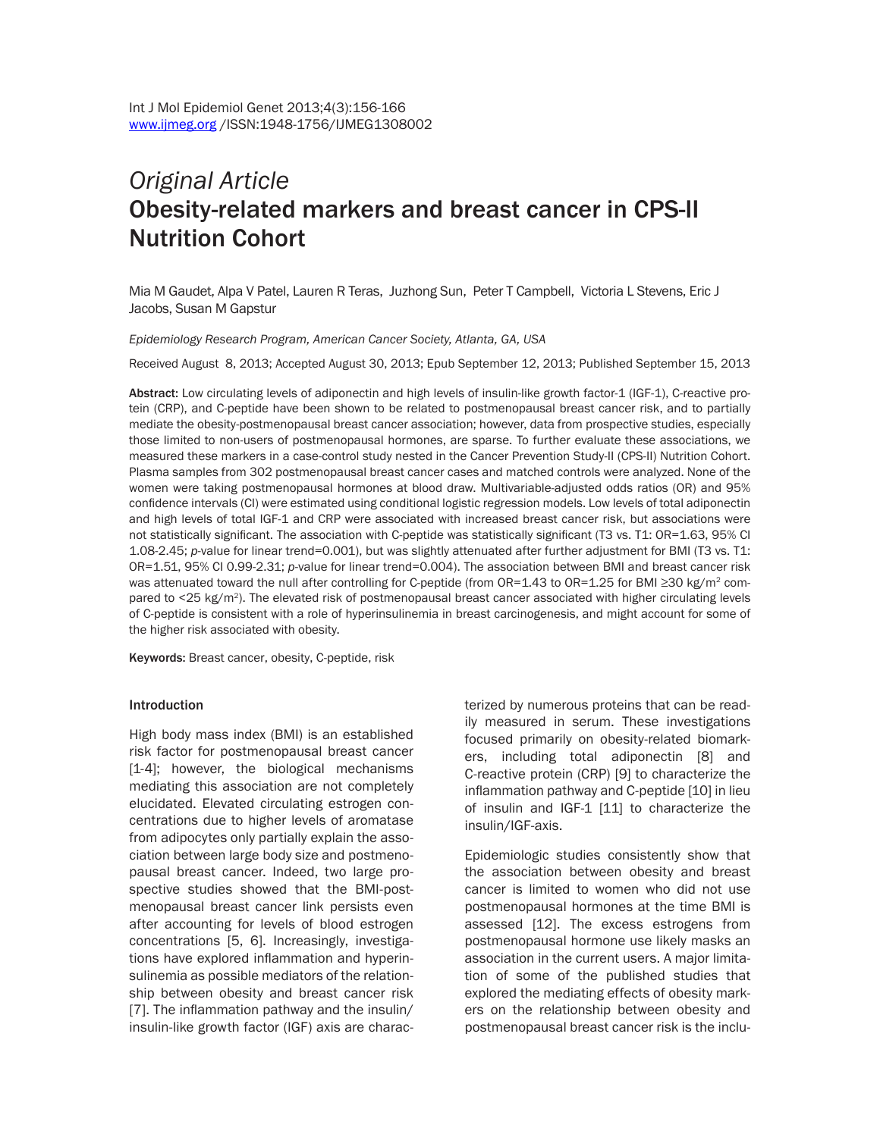# *Original Article* Obesity-related markers and breast cancer in CPS-II Nutrition Cohort

Mia M Gaudet, Alpa V Patel, Lauren R Teras, Juzhong Sun, Peter T Campbell, Victoria L Stevens, Eric J Jacobs, Susan M Gapstur

#### *Epidemiology Research Program, American Cancer Society, Atlanta, GA, USA*

Received August 8, 2013; Accepted August 30, 2013; Epub September 12, 2013; Published September 15, 2013

Abstract: Low circulating levels of adiponectin and high levels of insulin-like growth factor-1 (IGF-1), C-reactive protein (CRP), and C-peptide have been shown to be related to postmenopausal breast cancer risk, and to partially mediate the obesity-postmenopausal breast cancer association; however, data from prospective studies, especially those limited to non-users of postmenopausal hormones, are sparse. To further evaluate these associations, we measured these markers in a case-control study nested in the Cancer Prevention Study-II (CPS-II) Nutrition Cohort. Plasma samples from 302 postmenopausal breast cancer cases and matched controls were analyzed. None of the women were taking postmenopausal hormones at blood draw. Multivariable-adjusted odds ratios (OR) and 95% confidence intervals (CI) were estimated using conditional logistic regression models. Low levels of total adiponectin and high levels of total IGF-1 and CRP were associated with increased breast cancer risk, but associations were not statistically significant. The association with C-peptide was statistically significant (T3 vs. T1: OR=1.63, 95% CI 1.08-2.45; *p*-value for linear trend=0.001), but was slightly attenuated after further adjustment for BMI (T3 vs. T1: OR=1.51, 95% CI 0.99-2.31; *p*-value for linear trend=0.004). The association between BMI and breast cancer risk was attenuated toward the null after controlling for C-peptide (from OR=1.43 to OR=1.25 for BMI ≥30 kg/m<sup>2</sup> compared to <25 kg/m<sup>2</sup>). The elevated risk of postmenopausal breast cancer associated with higher circulating levels of C-peptide is consistent with a role of hyperinsulinemia in breast carcinogenesis, and might account for some of the higher risk associated with obesity.

Keywords: Breast cancer, obesity, C-peptide, risk

#### Introduction

High body mass index (BMI) is an established risk factor for postmenopausal breast cancer [1-4]; however, the biological mechanisms mediating this association are not completely elucidated. Elevated circulating estrogen concentrations due to higher levels of aromatase from adipocytes only partially explain the association between large body size and postmenopausal breast cancer. Indeed, two large prospective studies showed that the BMI-postmenopausal breast cancer link persists even after accounting for levels of blood estrogen concentrations [5, 6]. Increasingly, investigations have explored inflammation and hyperinsulinemia as possible mediators of the relationship between obesity and breast cancer risk [7]. The inflammation pathway and the insulin/ insulin-like growth factor (IGF) axis are characterized by numerous proteins that can be readily measured in serum. These investigations focused primarily on obesity-related biomarkers, including total adiponectin [8] and C-reactive protein (CRP) [9] to characterize the inflammation pathway and C-peptide [10] in lieu of insulin and IGF-1 [11] to characterize the insulin/IGF-axis.

Epidemiologic studies consistently show that the association between obesity and breast cancer is limited to women who did not use postmenopausal hormones at the time BMI is assessed [12]. The excess estrogens from postmenopausal hormone use likely masks an association in the current users. A major limitation of some of the published studies that explored the mediating effects of obesity markers on the relationship between obesity and postmenopausal breast cancer risk is the inclu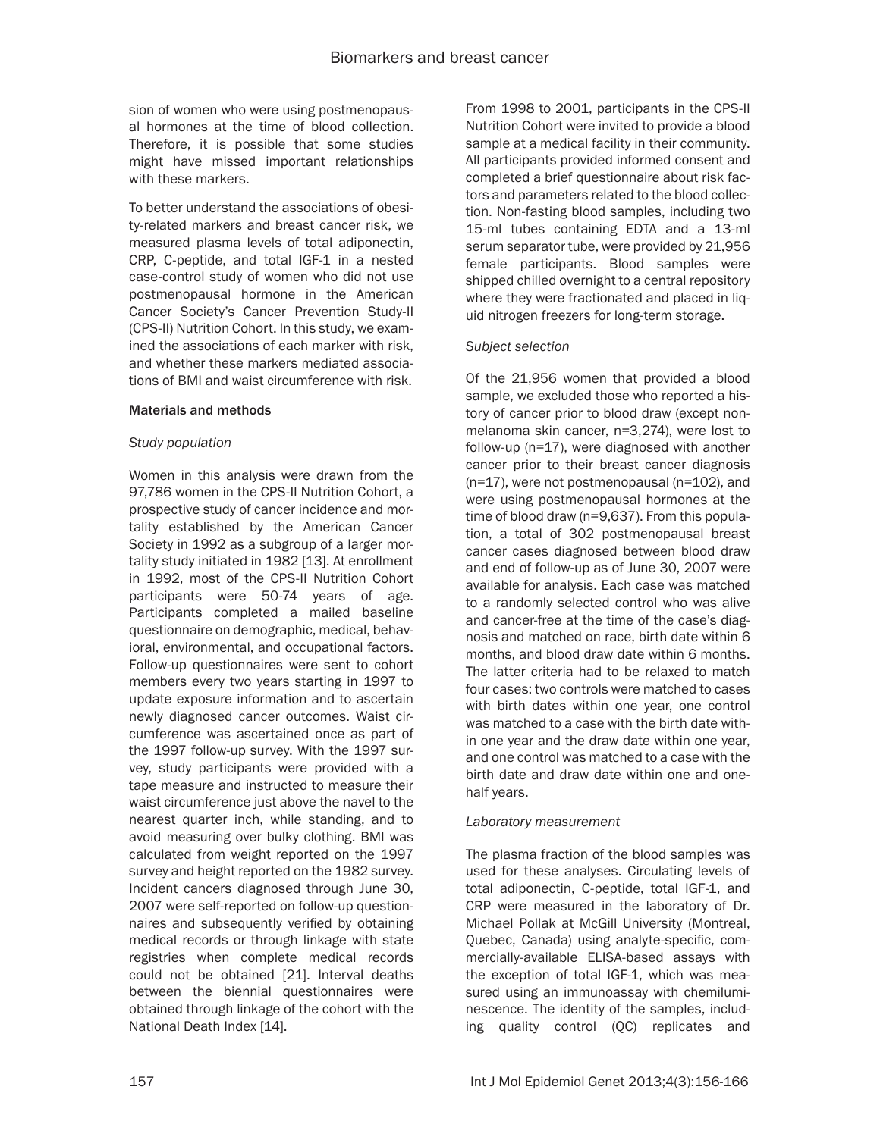sion of women who were using postmenopausal hormones at the time of blood collection. Therefore, it is possible that some studies might have missed important relationships with these markers.

To better understand the associations of obesity-related markers and breast cancer risk, we measured plasma levels of total adiponectin, CRP, C-peptide, and total IGF-1 in a nested case-control study of women who did not use postmenopausal hormone in the American Cancer Society's Cancer Prevention Study-II (CPS-II) Nutrition Cohort. In this study, we examined the associations of each marker with risk, and whether these markers mediated associations of BMI and waist circumference with risk.

#### Materials and methods

#### *Study population*

Women in this analysis were drawn from the 97,786 women in the CPS-II Nutrition Cohort, a prospective study of cancer incidence and mortality established by the American Cancer Society in 1992 as a subgroup of a larger mortality study initiated in 1982 [13]. At enrollment in 1992, most of the CPS-II Nutrition Cohort participants were 50-74 years of age. Participants completed a mailed baseline questionnaire on demographic, medical, behavioral, environmental, and occupational factors. Follow-up questionnaires were sent to cohort members every two years starting in 1997 to update exposure information and to ascertain newly diagnosed cancer outcomes. Waist circumference was ascertained once as part of the 1997 follow-up survey. With the 1997 survey, study participants were provided with a tape measure and instructed to measure their waist circumference just above the navel to the nearest quarter inch, while standing, and to avoid measuring over bulky clothing. BMI was calculated from weight reported on the 1997 survey and height reported on the 1982 survey. Incident cancers diagnosed through June 30, 2007 were self-reported on follow-up questionnaires and subsequently verified by obtaining medical records or through linkage with state registries when complete medical records could not be obtained [21]. Interval deaths between the biennial questionnaires were obtained through linkage of the cohort with the National Death Index [14].

From 1998 to 2001, participants in the CPS-II Nutrition Cohort were invited to provide a blood sample at a medical facility in their community. All participants provided informed consent and completed a brief questionnaire about risk factors and parameters related to the blood collection. Non-fasting blood samples, including two 15-ml tubes containing EDTA and a 13-ml serum separator tube, were provided by 21,956 female participants. Blood samples were shipped chilled overnight to a central repository where they were fractionated and placed in liquid nitrogen freezers for long-term storage.

#### *Subject selection*

Of the 21,956 women that provided a blood sample, we excluded those who reported a history of cancer prior to blood draw (except nonmelanoma skin cancer, n=3,274), were lost to follow-up (n=17), were diagnosed with another cancer prior to their breast cancer diagnosis (n=17), were not postmenopausal (n=102), and were using postmenopausal hormones at the time of blood draw (n=9,637). From this population, a total of 302 postmenopausal breast cancer cases diagnosed between blood draw and end of follow-up as of June 30, 2007 were available for analysis. Each case was matched to a randomly selected control who was alive and cancer-free at the time of the case's diagnosis and matched on race, birth date within 6 months, and blood draw date within 6 months. The latter criteria had to be relaxed to match four cases: two controls were matched to cases with birth dates within one year, one control was matched to a case with the birth date within one year and the draw date within one year, and one control was matched to a case with the birth date and draw date within one and onehalf years.

## *Laboratory measurement*

The plasma fraction of the blood samples was used for these analyses. Circulating levels of total adiponectin, C-peptide, total IGF-1, and CRP were measured in the laboratory of Dr. Michael Pollak at McGill University (Montreal, Quebec, Canada) using analyte-specific, commercially-available ELISA-based assays with the exception of total IGF-1, which was measured using an immunoassay with chemiluminescence. The identity of the samples, including quality control (QC) replicates and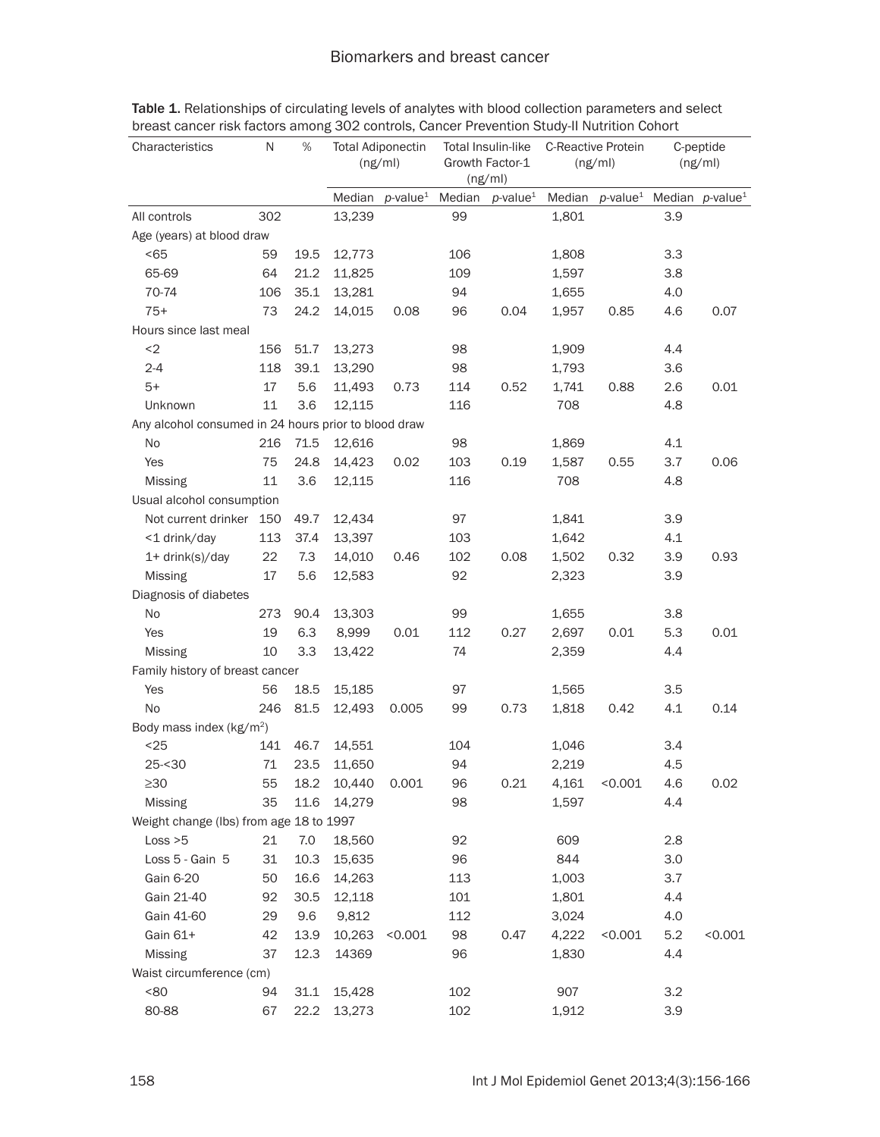| Characteristics                                      | N                                       | $\%$ | <b>Total Adiponectin</b><br>Total Insulin-like<br>Growth Factor-1<br>(ng/ml)<br>(ng/ml) |                         | C-Reactive Protein<br>(ng/ml) |                             | C-peptide<br>(ng/ml) |                                                         |     |         |
|------------------------------------------------------|-----------------------------------------|------|-----------------------------------------------------------------------------------------|-------------------------|-------------------------------|-----------------------------|----------------------|---------------------------------------------------------|-----|---------|
|                                                      |                                         |      | Median                                                                                  | $p$ -value <sup>1</sup> |                               | Median p-value <sup>1</sup> |                      | Median p-value <sup>1</sup> Median p-value <sup>1</sup> |     |         |
| All controls                                         | 302                                     |      | 13,239                                                                                  |                         | 99                            |                             | 1,801                |                                                         | 3.9 |         |
| Age (years) at blood draw                            |                                         |      |                                                                                         |                         |                               |                             |                      |                                                         |     |         |
| < 65                                                 | 59                                      | 19.5 | 12,773                                                                                  |                         | 106                           |                             | 1,808                |                                                         | 3.3 |         |
| 65-69                                                | 64                                      | 21.2 | 11,825                                                                                  |                         | 109                           |                             | 1,597                |                                                         | 3.8 |         |
| 70-74                                                | 106                                     | 35.1 | 13,281                                                                                  |                         | 94                            |                             | 1,655                |                                                         | 4.0 |         |
| $75+$                                                | 73                                      | 24.2 | 14,015                                                                                  | 0.08                    | 96                            | 0.04                        | 1,957                | 0.85                                                    | 4.6 | 0.07    |
| Hours since last meal                                |                                         |      |                                                                                         |                         |                               |                             |                      |                                                         |     |         |
| $2$                                                  | 156                                     | 51.7 | 13,273                                                                                  |                         | 98                            |                             | 1,909                |                                                         | 4.4 |         |
| $2 - 4$                                              | 118                                     | 39.1 | 13,290                                                                                  |                         | 98                            |                             | 1,793                |                                                         | 3.6 |         |
| $5+$                                                 | 17                                      | 5.6  | 11,493                                                                                  | 0.73                    | 114                           | 0.52                        | 1,741                | 0.88                                                    | 2.6 | 0.01    |
| Unknown                                              | 11                                      | 3.6  | 12,115                                                                                  |                         | 116                           |                             | 708                  |                                                         | 4.8 |         |
| Any alcohol consumed in 24 hours prior to blood draw |                                         |      |                                                                                         |                         |                               |                             |                      |                                                         |     |         |
| <b>No</b>                                            | 216                                     | 71.5 | 12,616                                                                                  |                         | 98                            |                             | 1,869                |                                                         | 4.1 |         |
| Yes                                                  | 75                                      | 24.8 | 14,423                                                                                  | 0.02                    | 103                           | 0.19                        | 1,587                | 0.55                                                    | 3.7 | 0.06    |
| <b>Missing</b>                                       | 11                                      | 3.6  | 12,115                                                                                  |                         | 116                           |                             | 708                  |                                                         | 4.8 |         |
| Usual alcohol consumption                            |                                         |      |                                                                                         |                         |                               |                             |                      |                                                         |     |         |
| Not current drinker 150                              |                                         | 49.7 | 12,434                                                                                  |                         | 97                            |                             | 1,841                |                                                         | 3.9 |         |
| <1 drink/day                                         | 113                                     | 37.4 | 13,397                                                                                  |                         | 103                           |                             | 1,642                |                                                         | 4.1 |         |
| 1+ drink(s)/day                                      | 22                                      | 7.3  | 14,010                                                                                  | 0.46                    | 102                           | 0.08                        | 1,502                | 0.32                                                    | 3.9 | 0.93    |
| <b>Missing</b>                                       | 17                                      | 5.6  | 12,583                                                                                  |                         | 92                            |                             | 2,323                |                                                         | 3.9 |         |
| Diagnosis of diabetes                                |                                         |      |                                                                                         |                         |                               |                             |                      |                                                         |     |         |
| No                                                   | 273                                     | 90.4 | 13,303                                                                                  |                         | 99                            |                             | 1,655                |                                                         | 3.8 |         |
| Yes                                                  | 19                                      | 6.3  | 8,999                                                                                   | 0.01                    | 112                           | 0.27                        | 2,697                | 0.01                                                    | 5.3 | 0.01    |
| <b>Missing</b>                                       | 10                                      | 3.3  | 13,422                                                                                  |                         | 74                            |                             | 2,359                |                                                         | 4.4 |         |
| Family history of breast cancer                      |                                         |      |                                                                                         |                         |                               |                             |                      |                                                         |     |         |
| Yes                                                  | 56                                      | 18.5 | 15,185                                                                                  |                         | 97                            |                             | 1,565                |                                                         | 3.5 |         |
| <b>No</b>                                            | 246                                     | 81.5 | 12,493                                                                                  | 0.005                   | 99                            | 0.73                        | 1,818                | 0.42                                                    | 4.1 | 0.14    |
| Body mass index (kg/m <sup>2</sup> )                 |                                         |      |                                                                                         |                         |                               |                             |                      |                                                         |     |         |
| $25$                                                 | 141                                     | 46.7 | 14,551                                                                                  |                         | 104                           |                             | 1,046                |                                                         | 3.4 |         |
| $25 - 30$                                            | 71                                      | 23.5 | 11,650                                                                                  |                         | 94                            |                             | 2,219                |                                                         | 4.5 |         |
| $\geq 30$                                            |                                         |      | 55 18.2 10,440 0.001                                                                    |                         | 96                            | 0.21                        |                      | $4,161$ < 0.001                                         | 4.6 | 0.02    |
| Missing                                              | 35                                      | 11.6 | 14,279                                                                                  |                         | 98                            |                             | 1,597                |                                                         | 4.4 |         |
|                                                      | Weight change (Ibs) from age 18 to 1997 |      |                                                                                         |                         |                               |                             |                      |                                                         |     |         |
| Loss > 5                                             | 21                                      | 7.0  | 18,560                                                                                  |                         | 92                            |                             | 609                  |                                                         | 2.8 |         |
| Loss 5 - Gain 5                                      | 31                                      | 10.3 | 15,635                                                                                  |                         | 96                            |                             | 844                  |                                                         | 3.0 |         |
| Gain 6-20                                            | 50                                      | 16.6 | 14,263                                                                                  |                         | 113                           |                             | 1,003                |                                                         | 3.7 |         |
| Gain 21-40                                           | 92                                      | 30.5 | 12,118                                                                                  |                         | 101                           |                             | 1,801                |                                                         | 4.4 |         |
| Gain 41-60                                           | 29                                      | 9.6  | 9,812                                                                                   |                         | 112                           |                             | 3,024                |                                                         | 4.0 |         |
| Gain 61+                                             | 42                                      | 13.9 | 10,263                                                                                  | < 0.001                 | 98                            | 0.47                        | 4,222                | < 0.001                                                 | 5.2 | < 0.001 |
| Missing                                              | 37                                      | 12.3 | 14369                                                                                   |                         | 96                            |                             | 1,830                |                                                         | 4.4 |         |
| Waist circumference (cm)                             |                                         |      |                                                                                         |                         |                               |                             |                      |                                                         |     |         |
| <80                                                  | 94                                      | 31.1 | 15,428                                                                                  |                         | 102                           |                             | 907                  |                                                         | 3.2 |         |
| 80-88                                                | 67                                      | 22.2 | 13,273                                                                                  |                         | 102                           |                             | 1,912                |                                                         | 3.9 |         |

Table 1. Relationships of circulating levels of analytes with blood collection parameters and select breast cancer risk factors among 302 controls, Cancer Prevention Study-II Nutrition Cohort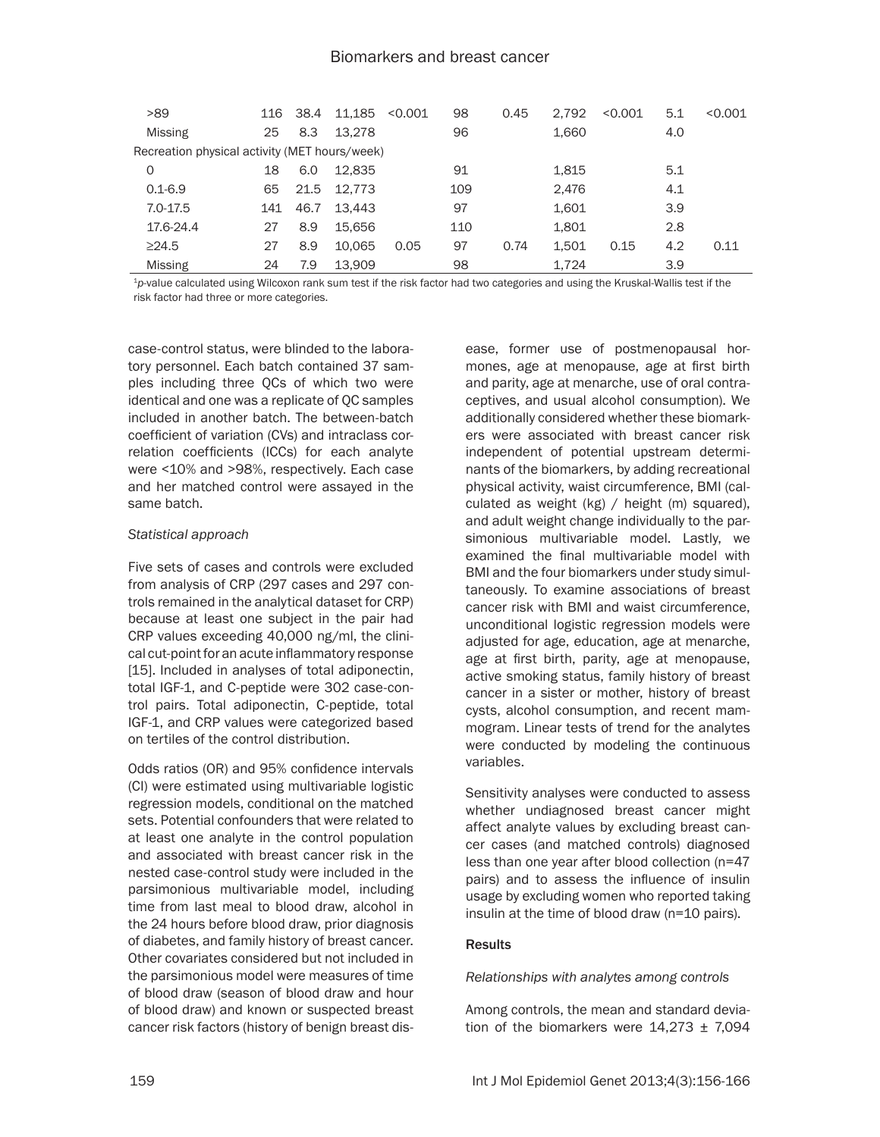| >89                                           |     | 116 38.4 | 11.185 | < 0.001 | 98  | 0.45 | 2.792 | < 0.001 | 5.1 | < 0.001 |
|-----------------------------------------------|-----|----------|--------|---------|-----|------|-------|---------|-----|---------|
| Missing                                       | 25  | 8.3      | 13.278 |         | 96  |      | 1,660 |         | 4.0 |         |
| Recreation physical activity (MET hours/week) |     |          |        |         |     |      |       |         |     |         |
| $\Omega$                                      | 18  | 6.0      | 12.835 |         | 91  |      | 1.815 |         | 5.1 |         |
| $0.1 - 6.9$                                   | 65  | 21.5     | 12.773 |         | 109 |      | 2.476 |         | 4.1 |         |
| $7.0 - 17.5$                                  | 141 | 46.7     | 13.443 |         | 97  |      | 1,601 |         | 3.9 |         |
| 17.6-24.4                                     | 27  | 8.9      | 15.656 |         | 110 |      | 1.801 |         | 2.8 |         |
| $\geq$ 24.5                                   | 27  | 8.9      | 10.065 | 0.05    | 97  | 0.74 | 1,501 | 0.15    | 4.2 | 0.11    |
| Missing                                       | 24  | 7.9      | 13.909 |         | 98  |      | 1.724 |         | 3.9 |         |

<sup>1</sup>*p*-value calculated using Wilcoxon rank sum test if the risk factor had two categories and using the Kruskal-Wallis test if the risk factor had three or more categories.

case-control status, were blinded to the laboratory personnel. Each batch contained 37 samples including three QCs of which two were identical and one was a replicate of QC samples included in another batch. The between-batch coefficient of variation (CVs) and intraclass correlation coefficients (ICCs) for each analyte were <10% and >98%, respectively. Each case and her matched control were assayed in the same batch.

#### *Statistical approach*

Five sets of cases and controls were excluded from analysis of CRP (297 cases and 297 controls remained in the analytical dataset for CRP) because at least one subject in the pair had CRP values exceeding 40,000 ng/ml, the clinical cut-point for an acute inflammatory response [15]. Included in analyses of total adiponectin, total IGF-1, and C-peptide were 302 case-control pairs. Total adiponectin, C-peptide, total IGF-1, and CRP values were categorized based on tertiles of the control distribution.

Odds ratios (OR) and 95% confidence intervals (CI) were estimated using multivariable logistic regression models, conditional on the matched sets. Potential confounders that were related to at least one analyte in the control population and associated with breast cancer risk in the nested case-control study were included in the parsimonious multivariable model, including time from last meal to blood draw, alcohol in the 24 hours before blood draw, prior diagnosis of diabetes, and family history of breast cancer. Other covariates considered but not included in the parsimonious model were measures of time of blood draw (season of blood draw and hour of blood draw) and known or suspected breast cancer risk factors (history of benign breast disease, former use of postmenopausal hormones, age at menopause, age at first birth and parity, age at menarche, use of oral contraceptives, and usual alcohol consumption). We additionally considered whether these biomarkers were associated with breast cancer risk independent of potential upstream determinants of the biomarkers, by adding recreational physical activity, waist circumference, BMI (calculated as weight (kg) / height (m) squared), and adult weight change individually to the parsimonious multivariable model. Lastly, we examined the final multivariable model with BMI and the four biomarkers under study simultaneously. To examine associations of breast cancer risk with BMI and waist circumference, unconditional logistic regression models were adjusted for age, education, age at menarche, age at first birth, parity, age at menopause, active smoking status, family history of breast cancer in a sister or mother, history of breast cysts, alcohol consumption, and recent mammogram. Linear tests of trend for the analytes were conducted by modeling the continuous variables.

Sensitivity analyses were conducted to assess whether undiagnosed breast cancer might affect analyte values by excluding breast cancer cases (and matched controls) diagnosed less than one year after blood collection (n=47 pairs) and to assess the influence of insulin usage by excluding women who reported taking insulin at the time of blood draw (n=10 pairs).

## **Results**

*Relationships with analytes among controls*

Among controls, the mean and standard deviation of the biomarkers were  $14,273 \pm 7,094$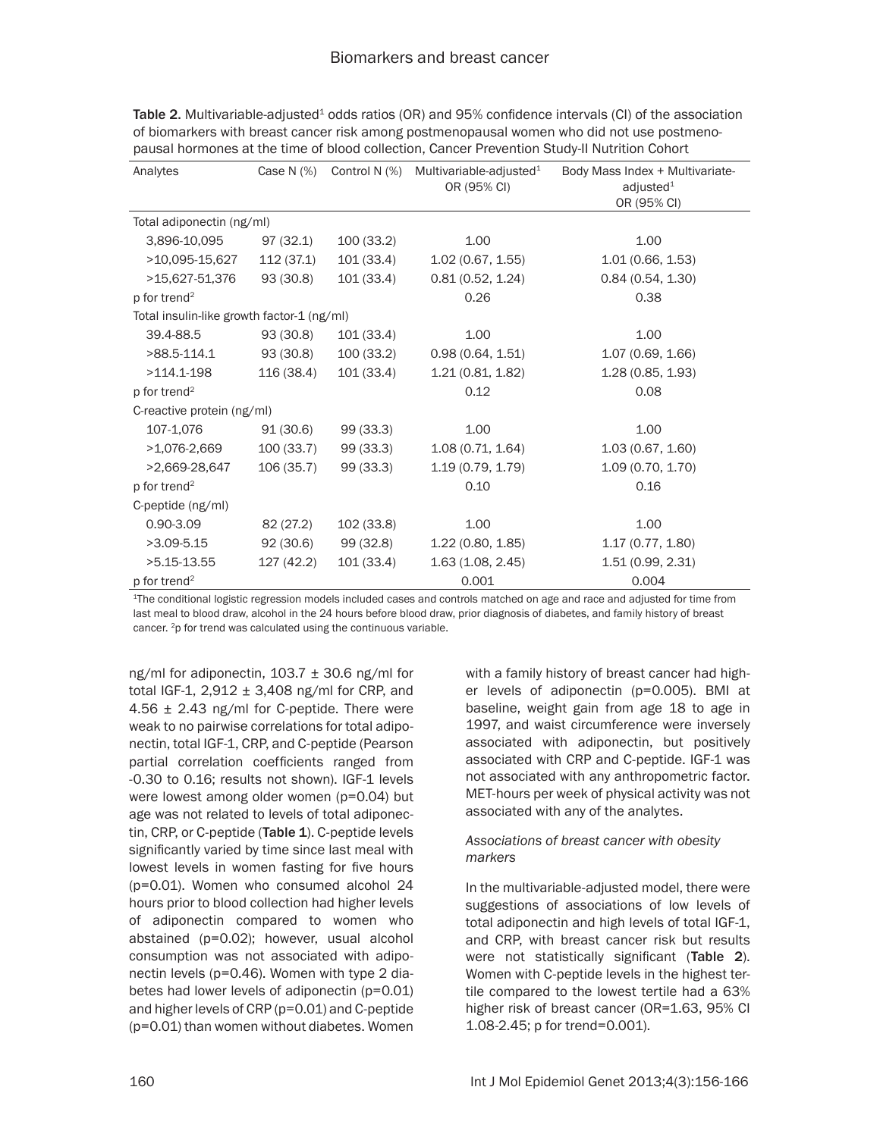| Analytes                                   | Case N $(%)$ | Control N (%) | Multivariable-adjusted <sup>1</sup><br>OR (95% CI) | Body Mass Index + Multivariate-<br>adjusted $1$<br>OR (95% CI) |  |
|--------------------------------------------|--------------|---------------|----------------------------------------------------|----------------------------------------------------------------|--|
| Total adiponectin (ng/ml)                  |              |               |                                                    |                                                                |  |
| 3,896-10,095                               | 97(32.1)     | 100(33.2)     | 1.00                                               | 1.00                                                           |  |
| >10,095-15,627                             | 112(37.1)    | 101(33.4)     | 1.02(0.67, 1.55)                                   | 1.01(0.66, 1.53)                                               |  |
| >15,627-51,376                             | 93(30.8)     | 101(33.4)     | 0.81(0.52, 1.24)                                   | 0.84(0.54, 1.30)                                               |  |
| p for trend <sup>2</sup>                   |              |               | 0.26                                               | 0.38                                                           |  |
| Total insulin-like growth factor-1 (ng/ml) |              |               |                                                    |                                                                |  |
| 39.4-88.5                                  | 93(30.8)     | 101 (33.4)    | 1.00                                               | 1.00                                                           |  |
| $>88.5 - 114.1$                            | 93 (30.8)    | 100(33.2)     | 0.98(0.64, 1.51)                                   | 1.07 (0.69, 1.66)                                              |  |
| $>114.1 - 198$                             | 116 (38.4)   | 101(33.4)     | 1.21(0.81, 1.82)                                   | 1.28(0.85, 1.93)                                               |  |
| p for trend <sup>2</sup>                   |              |               | 0.12                                               | 0.08                                                           |  |
| C-reactive protein (ng/ml)                 |              |               |                                                    |                                                                |  |
| 107-1,076                                  | 91(30.6)     | 99 (33.3)     | 1.00                                               | 1.00                                                           |  |
| $>1,076-2,669$                             | 100(33.7)    | 99(33.3)      | 1.08(0.71, 1.64)                                   | 1.03(0.67, 1.60)                                               |  |
| >2,669-28,647                              | 106(35.7)    | 99(33.3)      | 1.19(0.79, 1.79)                                   | 1.09 (0.70, 1.70)                                              |  |
| p for trend <sup>2</sup>                   |              |               | 0.10                                               | 0.16                                                           |  |
| C-peptide (ng/ml)                          |              |               |                                                    |                                                                |  |
| $0.90 - 3.09$                              | 82 (27.2)    | 102(33.8)     | 1.00                                               | 1.00                                                           |  |
| $>3.09 - 5.15$                             | 92 (30.6)    | 99 (32.8)     | 1.22(0.80, 1.85)                                   | 1.17(0.77, 1.80)                                               |  |
| $>5.15-13.55$                              | 127 (42.2)   | 101 (33.4)    | 1.63(1.08, 2.45)                                   | 1.51(0.99, 2.31)                                               |  |
| p for trend <sup>2</sup>                   |              |               | 0.001                                              | 0.004                                                          |  |

Table 2. Multivariable-adjusted<sup>1</sup> odds ratios (OR) and 95% confidence intervals (CI) of the association of biomarkers with breast cancer risk among postmenopausal women who did not use postmenopausal hormones at the time of blood collection, Cancer Prevention Study-II Nutrition Cohort

1The conditional logistic regression models included cases and controls matched on age and race and adjusted for time from last meal to blood draw, alcohol in the 24 hours before blood draw, prior diagnosis of diabetes, and family history of breast cancer. 2p for trend was calculated using the continuous variable.

ng/ml for adiponectin,  $103.7 \pm 30.6$  ng/ml for total IGF-1,  $2,912 \pm 3,408$  ng/ml for CRP, and 4.56  $\pm$  2.43 ng/ml for C-peptide. There were weak to no pairwise correlations for total adiponectin, total IGF-1, CRP, and C-peptide (Pearson partial correlation coefficients ranged from -0.30 to 0.16; results not shown). IGF-1 levels were lowest among older women (p=0.04) but age was not related to levels of total adiponectin, CRP, or C-peptide  $(Table 1)$ . C-peptide levels significantly varied by time since last meal with lowest levels in women fasting for five hours (p=0.01). Women who consumed alcohol 24 hours prior to blood collection had higher levels of adiponectin compared to women who abstained (p=0.02); however, usual alcohol consumption was not associated with adiponectin levels (p=0.46). Women with type 2 diabetes had lower levels of adiponectin (p=0.01) and higher levels of CRP (p=0.01) and C-peptide (p=0.01) than women without diabetes. Women with a family history of breast cancer had higher levels of adiponectin (p=0.005). BMI at baseline, weight gain from age 18 to age in 1997, and waist circumference were inversely associated with adiponectin, but positively associated with CRP and C-peptide. IGF-1 was not associated with any anthropometric factor. MET-hours per week of physical activity was not associated with any of the analytes.

## *Associations of breast cancer with obesity markers*

In the multivariable-adjusted model, there were suggestions of associations of low levels of total adiponectin and high levels of total IGF-1, and CRP, with breast cancer risk but results were not statistically significant (Table 2). Women with C-peptide levels in the highest tertile compared to the lowest tertile had a 63% higher risk of breast cancer (OR=1.63, 95% CI 1.08-2.45; p for trend=0.001).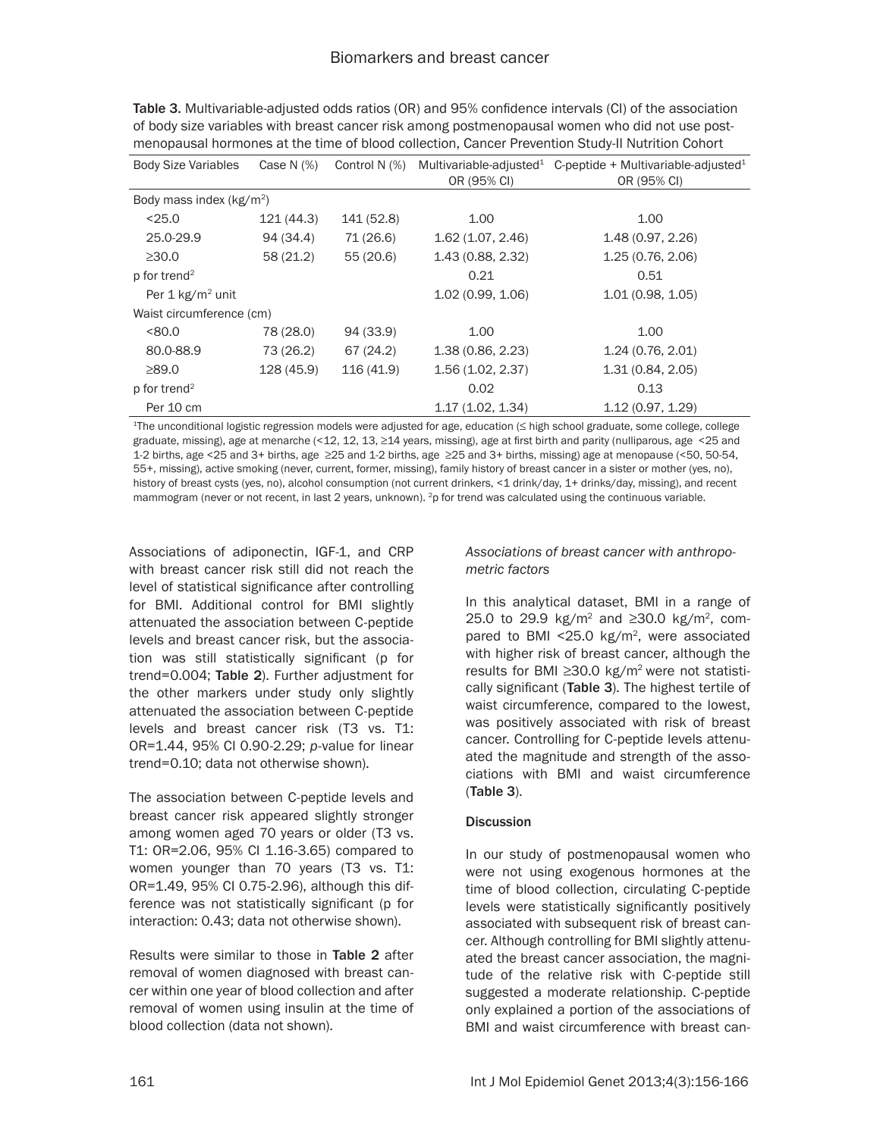| <b>Body Size Variables</b>  | Case N $(%)$ | Control N (%) | Multivariable-adjusted <sup>1</sup> | C-peptide + Multivariable-adjusted $1$ |
|-----------------------------|--------------|---------------|-------------------------------------|----------------------------------------|
|                             |              |               | OR (95% CI)                         | OR (95% CI)                            |
| Body mass index $(kg/m2)$   |              |               |                                     |                                        |
| < 25.0                      | 121 (44.3)   | 141 (52.8)    | 1.00                                | 1.00                                   |
| 25.0-29.9                   | 94 (34.4)    | 71 (26.6)     | 1.62(1.07, 2.46)                    | 1.48(0.97, 2.26)                       |
| $\geq 30.0$                 | 58 (21.2)    | 55(20.6)      | 1.43(0.88, 2.32)                    | 1.25 (0.76, 2.06)                      |
| $p$ for trend <sup>2</sup>  |              |               | 0.21                                | 0.51                                   |
| Per $1 \text{ kg/m}^2$ unit |              |               | 1.02(0.99, 1.06)                    | 1.01(0.98, 1.05)                       |
| Waist circumference (cm)    |              |               |                                     |                                        |
| <80.0                       | 78 (28.0)    | 94 (33.9)     | 1.00                                | 1.00                                   |
| 80.0-88.9                   | 73 (26.2)    | 67(24.2)      | 1.38(0.86, 2.23)                    | 1.24(0.76, 2.01)                       |
| $\geq 89.0$                 | 128 (45.9)   | 116 (41.9)    | 1.56(1.02, 2.37)                    | 1.31(0.84, 2.05)                       |
| $p$ for trend <sup>2</sup>  |              |               | 0.02                                | 0.13                                   |
| Per 10 cm                   |              |               | 1.17(1.02, 1.34)                    | 1.12 (0.97, 1.29)                      |

Table 3. Multivariable-adjusted odds ratios (OR) and 95% confidence intervals (CI) of the association of body size variables with breast cancer risk among postmenopausal women who did not use postmenopausal hormones at the time of blood collection, Cancer Prevention Study-II Nutrition Cohort

<sup>1</sup>The unconditional logistic regression models were adjusted for age, education (≤ high school graduate, some college, college graduate, missing), age at menarche (<12, 12, 13, ≥14 years, missing), age at first birth and parity (nulliparous, age <25 and 1-2 births, age <25 and 3+ births, age ≥25 and 1-2 births, age ≥25 and 3+ births, missing) age at menopause (<50, 50-54, 55+, missing), active smoking (never, current, former, missing), family history of breast cancer in a sister or mother (yes, no), history of breast cysts (yes, no), alcohol consumption (not current drinkers, <1 drink/day, 1+ drinks/day, missing), and recent mammogram (never or not recent, in last 2 years, unknown). <sup>2</sup>p for trend was calculated using the continuous variable.

Associations of adiponectin, IGF-1, and CRP with breast cancer risk still did not reach the level of statistical significance after controlling for BMI. Additional control for BMI slightly attenuated the association between C-peptide levels and breast cancer risk, but the association was still statistically significant (p for trend=0.004; Table 2). Further adjustment for the other markers under study only slightly attenuated the association between C-peptide levels and breast cancer risk (T3 vs. T1: OR=1.44, 95% CI 0.90-2.29; *p*-value for linear trend=0.10; data not otherwise shown).

The association between C-peptide levels and breast cancer risk appeared slightly stronger among women aged 70 years or older (T3 vs. T1: OR=2.06, 95% CI 1.16-3.65) compared to women younger than 70 years (T3 vs. T1: OR=1.49, 95% CI 0.75-2.96), although this difference was not statistically significant (p for interaction: 0.43; data not otherwise shown).

Results were similar to those in Table 2 after removal of women diagnosed with breast cancer within one year of blood collection and after removal of women using insulin at the time of blood collection (data not shown).

## *Associations of breast cancer with anthropometric factors*

In this analytical dataset, BMI in a range of 25.0 to 29.9 kg/m<sup>2</sup> and ≥30.0 kg/m<sup>2</sup>, compared to BMI  $\leq$ 25.0 kg/m<sup>2</sup>, were associated with higher risk of breast cancer, although the results for BMI ≥30.0 kg/m2 were not statistically significant (Table 3). The highest tertile of waist circumference, compared to the lowest, was positively associated with risk of breast cancer. Controlling for C-peptide levels attenuated the magnitude and strength of the associations with BMI and waist circumference (Table 3).

# **Discussion**

In our study of postmenopausal women who were not using exogenous hormones at the time of blood collection, circulating C-peptide levels were statistically significantly positively associated with subsequent risk of breast cancer. Although controlling for BMI slightly attenuated the breast cancer association, the magnitude of the relative risk with C-peptide still suggested a moderate relationship. C-peptide only explained a portion of the associations of BMI and waist circumference with breast can-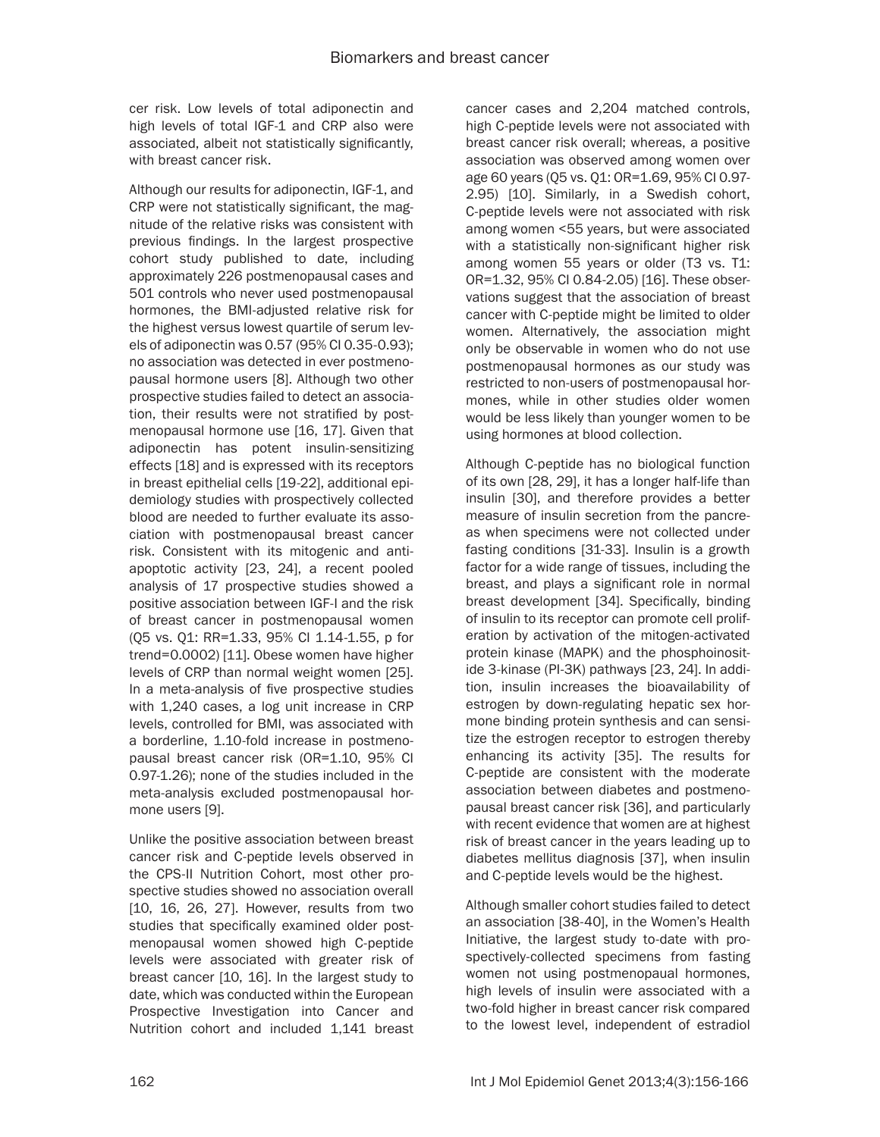cer risk. Low levels of total adiponectin and high levels of total IGF-1 and CRP also were associated, albeit not statistically significantly, with breast cancer risk.

Although our results for adiponectin, IGF-1, and CRP were not statistically significant, the magnitude of the relative risks was consistent with previous findings. In the largest prospective cohort study published to date, including approximately 226 postmenopausal cases and 501 controls who never used postmenopausal hormones, the BMI-adjusted relative risk for the highest versus lowest quartile of serum levels of adiponectin was 0.57 (95% CI 0.35-0.93); no association was detected in ever postmenopausal hormone users [8]. Although two other prospective studies failed to detect an association, their results were not stratified by postmenopausal hormone use [16, 17]. Given that adiponectin has potent insulin-sensitizing effects [18] and is expressed with its receptors in breast epithelial cells [19-22], additional epidemiology studies with prospectively collected blood are needed to further evaluate its association with postmenopausal breast cancer risk. Consistent with its mitogenic and antiapoptotic activity [23, 24], a recent pooled analysis of 17 prospective studies showed a positive association between IGF-I and the risk of breast cancer in postmenopausal women (Q5 vs. Q1: RR=1.33, 95% CI 1.14-1.55, p for trend=0.0002) [11]. Obese women have higher levels of CRP than normal weight women [25]. In a meta-analysis of five prospective studies with 1,240 cases, a log unit increase in CRP levels, controlled for BMI, was associated with a borderline, 1.10-fold increase in postmenopausal breast cancer risk (OR=1.10, 95% CI 0.97-1.26); none of the studies included in the meta-analysis excluded postmenopausal hormone users [9].

Unlike the positive association between breast cancer risk and C-peptide levels observed in the CPS-II Nutrition Cohort, most other prospective studies showed no association overall [10, 16, 26, 27]. However, results from two studies that specifically examined older postmenopausal women showed high C-peptide levels were associated with greater risk of breast cancer [10, 16]. In the largest study to date, which was conducted within the European Prospective Investigation into Cancer and Nutrition cohort and included 1,141 breast cancer cases and 2,204 matched controls, high C-peptide levels were not associated with breast cancer risk overall; whereas, a positive association was observed among women over age 60 years (Q5 vs. Q1: OR=1.69, 95% CI 0.97- 2.95) [10]. Similarly, in a Swedish cohort, C-peptide levels were not associated with risk among women <55 years, but were associated with a statistically non-significant higher risk among women 55 years or older (T3 vs. T1: OR=1.32, 95% CI 0.84-2.05) [16]. These observations suggest that the association of breast cancer with C-peptide might be limited to older women. Alternatively, the association might only be observable in women who do not use postmenopausal hormones as our study was restricted to non-users of postmenopausal hormones, while in other studies older women would be less likely than younger women to be using hormones at blood collection.

Although C-peptide has no biological function of its own [28, 29], it has a longer half-life than insulin [30], and therefore provides a better measure of insulin secretion from the pancreas when specimens were not collected under fasting conditions [31-33]. Insulin is a growth factor for a wide range of tissues, including the breast, and plays a significant role in normal breast development [34]. Specifically, binding of insulin to its receptor can promote cell proliferation by activation of the mitogen-activated protein kinase (MAPK) and the phosphoinositide 3-kinase (PI-3K) pathways [23, 24]. In addition, insulin increases the bioavailability of estrogen by down-regulating hepatic sex hormone binding protein synthesis and can sensitize the estrogen receptor to estrogen thereby enhancing its activity [35]. The results for C-peptide are consistent with the moderate association between diabetes and postmenopausal breast cancer risk [36], and particularly with recent evidence that women are at highest risk of breast cancer in the years leading up to diabetes mellitus diagnosis [37], when insulin and C-peptide levels would be the highest.

Although smaller cohort studies failed to detect an association [38-40], in the Women's Health Initiative, the largest study to-date with prospectively-collected specimens from fasting women not using postmenopaual hormones, high levels of insulin were associated with a two-fold higher in breast cancer risk compared to the lowest level, independent of estradiol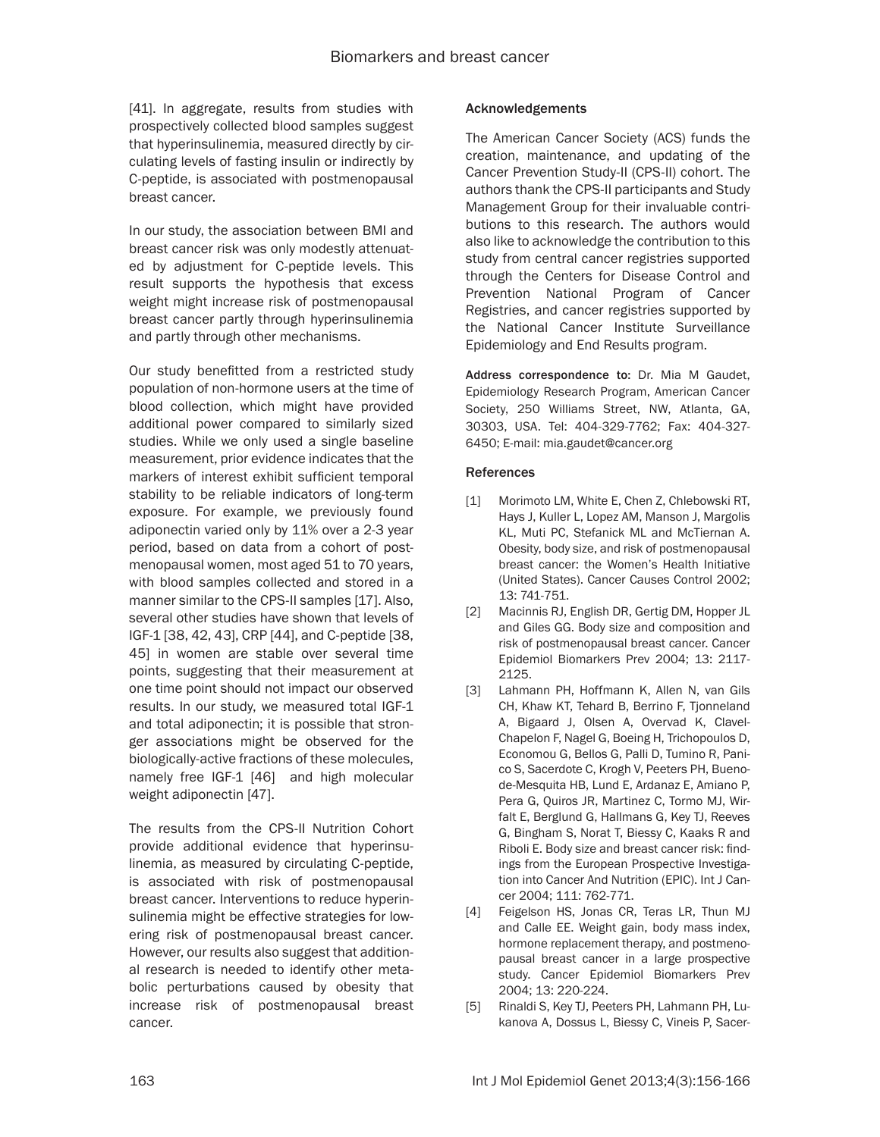[41]. In aggregate, results from studies with prospectively collected blood samples suggest that hyperinsulinemia, measured directly by circulating levels of fasting insulin or indirectly by C-peptide, is associated with postmenopausal breast cancer.

In our study, the association between BMI and breast cancer risk was only modestly attenuated by adjustment for C-peptide levels. This result supports the hypothesis that excess weight might increase risk of postmenopausal breast cancer partly through hyperinsulinemia and partly through other mechanisms.

Our study benefitted from a restricted study population of non-hormone users at the time of blood collection, which might have provided additional power compared to similarly sized studies. While we only used a single baseline measurement, prior evidence indicates that the markers of interest exhibit sufficient temporal stability to be reliable indicators of long-term exposure. For example, we previously found adiponectin varied only by 11% over a 2-3 year period, based on data from a cohort of postmenopausal women, most aged 51 to 70 years, with blood samples collected and stored in a manner similar to the CPS-II samples [17]. Also, several other studies have shown that levels of IGF-1 [38, 42, 43], CRP [44], and C-peptide [38, 45] in women are stable over several time points, suggesting that their measurement at one time point should not impact our observed results. In our study, we measured total IGF-1 and total adiponectin; it is possible that stronger associations might be observed for the biologically-active fractions of these molecules, namely free IGF-1 [46] and high molecular weight adiponectin [47].

The results from the CPS-II Nutrition Cohort provide additional evidence that hyperinsulinemia, as measured by circulating C-peptide, is associated with risk of postmenopausal breast cancer. Interventions to reduce hyperinsulinemia might be effective strategies for lowering risk of postmenopausal breast cancer. However, our results also suggest that additional research is needed to identify other metabolic perturbations caused by obesity that increase risk of postmenopausal breast cancer.

#### Acknowledgements

The American Cancer Society (ACS) funds the creation, maintenance, and updating of the Cancer Prevention Study-II (CPS-II) cohort. The authors thank the CPS-II participants and Study Management Group for their invaluable contributions to this research. The authors would also like to acknowledge the contribution to this study from central cancer registries supported through the Centers for Disease Control and Prevention National Program of Cancer Registries, and cancer registries supported by the National Cancer Institute Surveillance Epidemiology and End Results program.

Address correspondence to: Dr. Mia M Gaudet, Epidemiology Research Program, American Cancer Society, 250 Williams Street, NW, Atlanta, GA, 30303, USA. Tel: 404-329-7762; Fax: 404-327- 6450; E-mail: [mia.gaudet@cancer.org](mailto:mia.gaudet@cancer.org)

#### **References**

- [1] Morimoto LM, White E, Chen Z, Chlebowski RT, Hays J, Kuller L, Lopez AM, Manson J, Margolis KL, Muti PC, Stefanick ML and McTiernan A. Obesity, body size, and risk of postmenopausal breast cancer: the Women's Health Initiative (United States). Cancer Causes Control 2002; 13: 741-751.
- [2] Macinnis RJ, English DR, Gertig DM, Hopper JL and Giles GG. Body size and composition and risk of postmenopausal breast cancer. Cancer Epidemiol Biomarkers Prev 2004; 13: 2117- 2125.
- [3] Lahmann PH, Hoffmann K, Allen N, van Gils CH, Khaw KT, Tehard B, Berrino F, Tjonneland A, Bigaard J, Olsen A, Overvad K, Clavel-Chapelon F, Nagel G, Boeing H, Trichopoulos D, Economou G, Bellos G, Palli D, Tumino R, Panico S, Sacerdote C, Krogh V, Peeters PH, Buenode-Mesquita HB, Lund E, Ardanaz E, Amiano P, Pera G, Quiros JR, Martinez C, Tormo MJ, Wirfalt E, Berglund G, Hallmans G, Key TJ, Reeves G, Bingham S, Norat T, Biessy C, Kaaks R and Riboli E. Body size and breast cancer risk: findings from the European Prospective Investigation into Cancer And Nutrition (EPIC). Int J Cancer 2004; 111: 762-771.
- [4] Feigelson HS, Jonas CR, Teras LR, Thun MJ and Calle EE. Weight gain, body mass index, hormone replacement therapy, and postmenopausal breast cancer in a large prospective study. Cancer Epidemiol Biomarkers Prev 2004; 13: 220-224.
- [5] Rinaldi S, Key TJ, Peeters PH, Lahmann PH, Lukanova A, Dossus L, Biessy C, Vineis P, Sacer-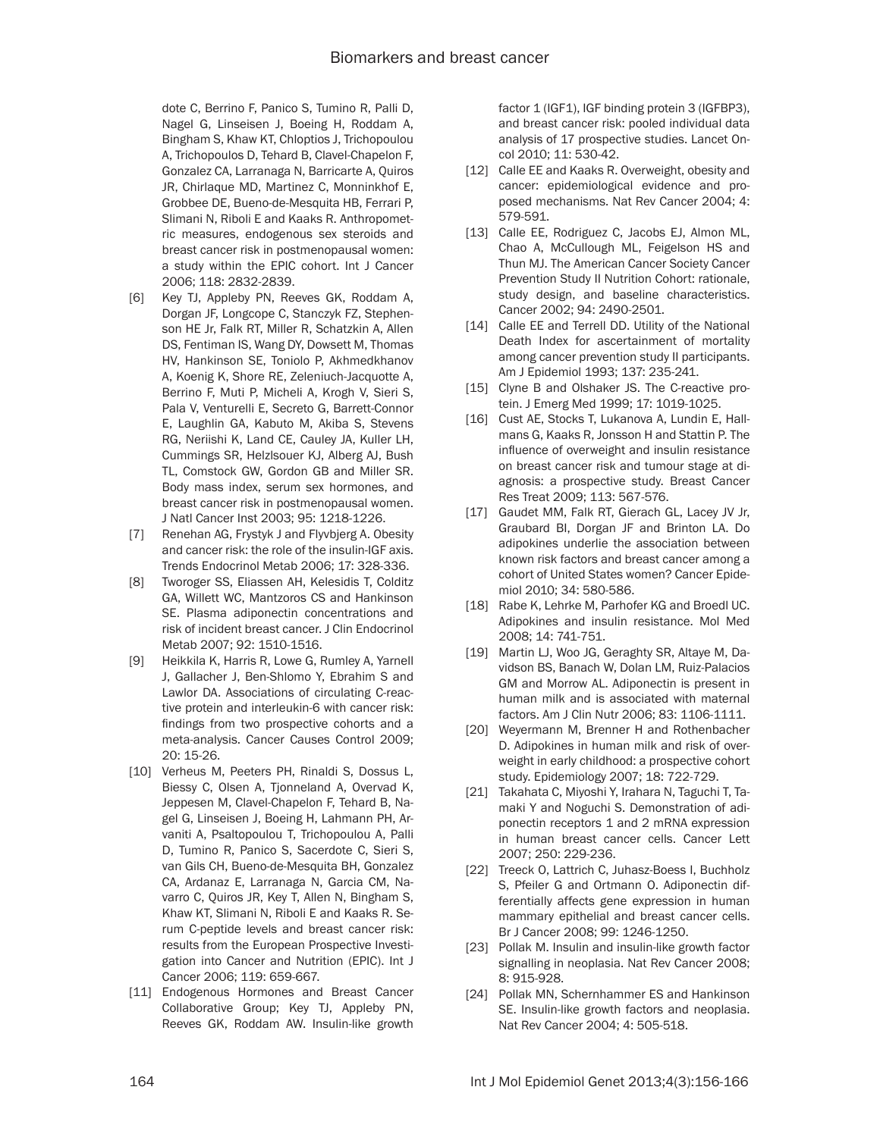dote C, Berrino F, Panico S, Tumino R, Palli D, Nagel G, Linseisen J, Boeing H, Roddam A, Bingham S, Khaw KT, Chloptios J, Trichopoulou A, Trichopoulos D, Tehard B, Clavel-Chapelon F, Gonzalez CA, Larranaga N, Barricarte A, Quiros JR, Chirlaque MD, Martinez C, Monninkhof E, Grobbee DE, Bueno-de-Mesquita HB, Ferrari P, Slimani N, Riboli E and Kaaks R. Anthropometric measures, endogenous sex steroids and breast cancer risk in postmenopausal women: a study within the EPIC cohort. Int J Cancer 2006; 118: 2832-2839.

- [6] Key TJ, Appleby PN, Reeves GK, Roddam A, Dorgan JF, Longcope C, Stanczyk FZ, Stephenson HE Jr, Falk RT, Miller R, Schatzkin A, Allen DS, Fentiman IS, Wang DY, Dowsett M, Thomas HV, Hankinson SE, Toniolo P, Akhmedkhanov A, Koenig K, Shore RE, Zeleniuch-Jacquotte A, Berrino F, Muti P, Micheli A, Krogh V, Sieri S, Pala V, Venturelli E, Secreto G, Barrett-Connor E, Laughlin GA, Kabuto M, Akiba S, Stevens RG, Neriishi K, Land CE, Cauley JA, Kuller LH, Cummings SR, Helzlsouer KJ, Alberg AJ, Bush TL, Comstock GW, Gordon GB and Miller SR. Body mass index, serum sex hormones, and breast cancer risk in postmenopausal women. J Natl Cancer Inst 2003; 95: 1218-1226.
- [7] Renehan AG, Frystyk J and Flyvbjerg A. Obesity and cancer risk: the role of the insulin-IGF axis. Trends Endocrinol Metab 2006; 17: 328-336.
- [8] Tworoger SS, Eliassen AH, Kelesidis T, Colditz GA, Willett WC, Mantzoros CS and Hankinson SE. Plasma adiponectin concentrations and risk of incident breast cancer. J Clin Endocrinol Metab 2007; 92: 1510-1516.
- [9] Heikkila K, Harris R, Lowe G, Rumley A, Yarnell J, Gallacher J, Ben-Shlomo Y, Ebrahim S and Lawlor DA. Associations of circulating C-reactive protein and interleukin-6 with cancer risk: findings from two prospective cohorts and a meta-analysis. Cancer Causes Control 2009; 20: 15-26.
- [10] Verheus M, Peeters PH, Rinaldi S, Dossus L, Biessy C, Olsen A, Tjonneland A, Overvad K, Jeppesen M, Clavel-Chapelon F, Tehard B, Nagel G, Linseisen J, Boeing H, Lahmann PH, Arvaniti A, Psaltopoulou T, Trichopoulou A, Palli D, Tumino R, Panico S, Sacerdote C, Sieri S, van Gils CH, Bueno-de-Mesquita BH, Gonzalez CA, Ardanaz E, Larranaga N, Garcia CM, Navarro C, Quiros JR, Key T, Allen N, Bingham S, Khaw KT, Slimani N, Riboli E and Kaaks R. Serum C-peptide levels and breast cancer risk: results from the European Prospective Investigation into Cancer and Nutrition (EPIC). Int J Cancer 2006; 119: 659-667.
- [11] Endogenous Hormones and Breast Cancer Collaborative Group; Key TJ, Appleby PN, Reeves GK, Roddam AW. Insulin-like growth

factor 1 (IGF1), IGF binding protein 3 (IGFBP3), and breast cancer risk: pooled individual data analysis of 17 prospective studies. Lancet Oncol 2010; 11: 530-42.

- [12] Calle EE and Kaaks R. Overweight, obesity and cancer: epidemiological evidence and proposed mechanisms. Nat Rev Cancer 2004; 4: 579-591.
- [13] Calle EE, Rodriguez C, Jacobs EJ, Almon ML, Chao A, McCullough ML, Feigelson HS and Thun MJ. The American Cancer Society Cancer Prevention Study II Nutrition Cohort: rationale, study design, and baseline characteristics. Cancer 2002; 94: 2490-2501.
- [14] Calle EE and Terrell DD. Utility of the National Death Index for ascertainment of mortality among cancer prevention study II participants. Am J Epidemiol 1993; 137: 235-241.
- [15] Clyne B and Olshaker JS. The C-reactive protein. J Emerg Med 1999; 17: 1019-1025.
- [16] Cust AE, Stocks T, Lukanova A, Lundin E, Hallmans G, Kaaks R, Jonsson H and Stattin P. The influence of overweight and insulin resistance on breast cancer risk and tumour stage at diagnosis: a prospective study. Breast Cancer Res Treat 2009; 113: 567-576.
- [17] Gaudet MM, Falk RT, Gierach GL, Lacey JV Jr, Graubard BI, Dorgan JF and Brinton LA. Do adipokines underlie the association between known risk factors and breast cancer among a cohort of United States women? Cancer Epidemiol 2010; 34: 580-586.
- [18] Rabe K, Lehrke M, Parhofer KG and Broedl UC. Adipokines and insulin resistance. Mol Med 2008; 14: 741-751.
- [19] Martin LJ, Woo JG, Geraghty SR, Altaye M, Davidson BS, Banach W, Dolan LM, Ruiz-Palacios GM and Morrow AL. Adiponectin is present in human milk and is associated with maternal factors. Am J Clin Nutr 2006; 83: 1106-1111.
- [20] Weyermann M, Brenner H and Rothenbacher D. Adipokines in human milk and risk of overweight in early childhood: a prospective cohort study. Epidemiology 2007; 18: 722-729.
- [21] Takahata C, Miyoshi Y, Irahara N, Taguchi T, Tamaki Y and Noguchi S. Demonstration of adiponectin receptors 1 and 2 mRNA expression in human breast cancer cells. Cancer Lett 2007; 250: 229-236.
- [22] Treeck O, Lattrich C, Juhasz-Boess I, Buchholz S, Pfeiler G and Ortmann O. Adiponectin differentially affects gene expression in human mammary epithelial and breast cancer cells. Br J Cancer 2008; 99: 1246-1250.
- [23] Pollak M. Insulin and insulin-like growth factor signalling in neoplasia. Nat Rev Cancer 2008; 8: 915-928.
- [24] Pollak MN, Schernhammer ES and Hankinson SE. Insulin-like growth factors and neoplasia. Nat Rev Cancer 2004; 4: 505-518.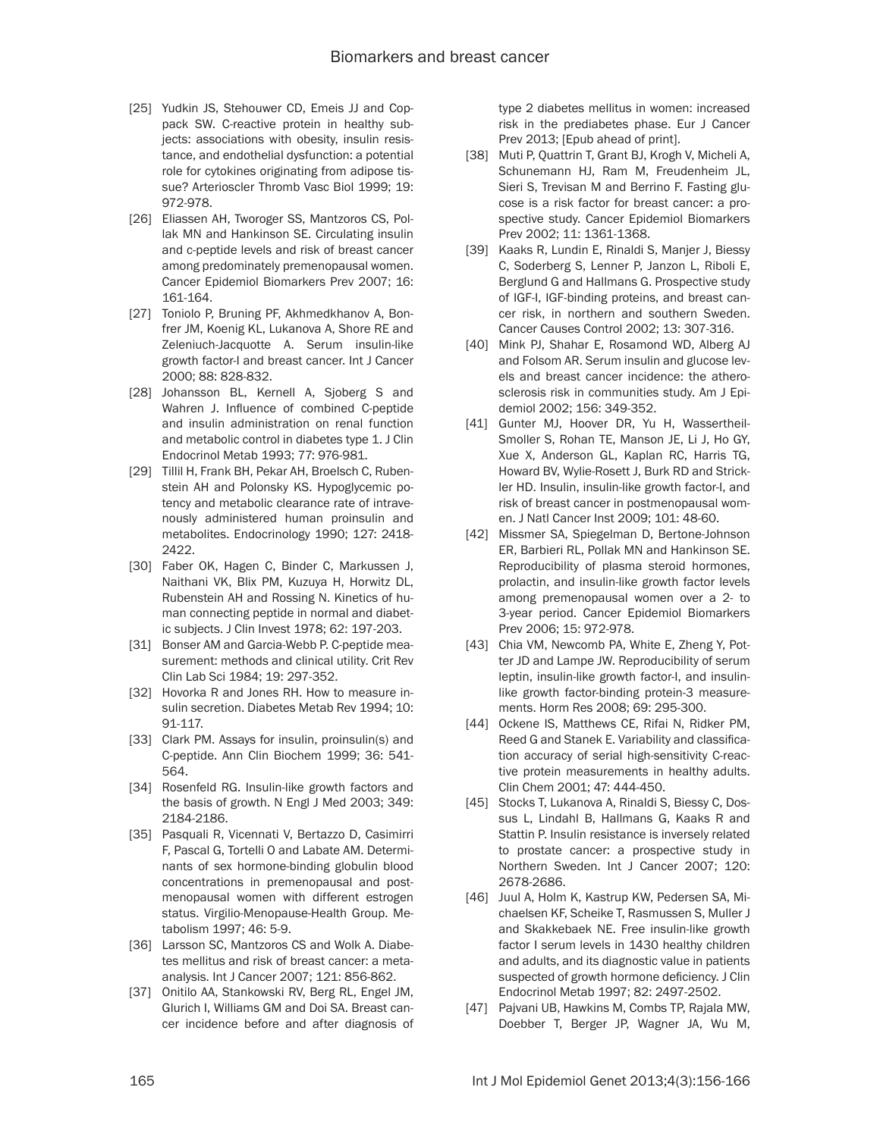- [25] Yudkin JS, Stehouwer CD, Emeis JJ and Coppack SW. C-reactive protein in healthy subjects: associations with obesity, insulin resistance, and endothelial dysfunction: a potential role for cytokines originating from adipose tissue? Arterioscler Thromb Vasc Biol 1999; 19: 972-978.
- [26] Eliassen AH, Tworoger SS, Mantzoros CS, Pollak MN and Hankinson SE. Circulating insulin and c-peptide levels and risk of breast cancer among predominately premenopausal women. Cancer Epidemiol Biomarkers Prev 2007; 16: 161-164.
- [27] Toniolo P, Bruning PF, Akhmedkhanov A, Bonfrer JM, Koenig KL, Lukanova A, Shore RE and Zeleniuch-Jacquotte A. Serum insulin-like growth factor-I and breast cancer. Int J Cancer 2000; 88: 828-832.
- [28] Johansson BL, Kernell A, Sjoberg S and Wahren J. Influence of combined C-peptide and insulin administration on renal function and metabolic control in diabetes type 1. J Clin Endocrinol Metab 1993; 77: 976-981.
- [29] Tillil H, Frank BH, Pekar AH, Broelsch C, Rubenstein AH and Polonsky KS. Hypoglycemic potency and metabolic clearance rate of intravenously administered human proinsulin and metabolites. Endocrinology 1990; 127: 2418- 2422.
- [30] Faber OK, Hagen C, Binder C, Markussen J, Naithani VK, Blix PM, Kuzuya H, Horwitz DL, Rubenstein AH and Rossing N. Kinetics of human connecting peptide in normal and diabetic subjects. J Clin Invest 1978; 62: 197-203.
- [31] Bonser AM and Garcia-Webb P. C-peptide measurement: methods and clinical utility. Crit Rev Clin Lab Sci 1984; 19: 297-352.
- [32] Hovorka R and Jones RH. How to measure insulin secretion. Diabetes Metab Rev 1994; 10: 91-117.
- [33] Clark PM. Assays for insulin, proinsulin(s) and C-peptide. Ann Clin Biochem 1999; 36: 541- 564.
- [34] Rosenfeld RG. Insulin-like growth factors and the basis of growth. N Engl J Med 2003; 349: 2184-2186.
- [35] Pasquali R, Vicennati V, Bertazzo D, Casimirri F, Pascal G, Tortelli O and Labate AM. Determinants of sex hormone-binding globulin blood concentrations in premenopausal and postmenopausal women with different estrogen status. Virgilio-Menopause-Health Group. Metabolism 1997; 46: 5-9.
- [36] Larsson SC, Mantzoros CS and Wolk A. Diabetes mellitus and risk of breast cancer: a metaanalysis. Int J Cancer 2007; 121: 856-862.
- [37] Onitilo AA, Stankowski RV, Berg RL, Engel JM, Glurich I, Williams GM and Doi SA. Breast cancer incidence before and after diagnosis of

type 2 diabetes mellitus in women: increased risk in the prediabetes phase. Eur J Cancer Prev 2013; [Epub ahead of print].

- [38] Muti P, Quattrin T, Grant BJ, Krogh V, Micheli A, Schunemann HJ, Ram M, Freudenheim JL, Sieri S, Trevisan M and Berrino F. Fasting glucose is a risk factor for breast cancer: a prospective study. Cancer Epidemiol Biomarkers Prev 2002; 11: 1361-1368.
- [39] Kaaks R, Lundin E, Rinaldi S, Manjer J, Biessy C, Soderberg S, Lenner P, Janzon L, Riboli E, Berglund G and Hallmans G. Prospective study of IGF-I, IGF-binding proteins, and breast cancer risk, in northern and southern Sweden. Cancer Causes Control 2002; 13: 307-316.
- [40] Mink PJ, Shahar E, Rosamond WD, Alberg AJ and Folsom AR. Serum insulin and glucose levels and breast cancer incidence: the atherosclerosis risk in communities study. Am J Epidemiol 2002; 156: 349-352.
- [41] Gunter MJ, Hoover DR, Yu H, Wassertheil-Smoller S, Rohan TE, Manson JE, Li J, Ho GY, Xue X, Anderson GL, Kaplan RC, Harris TG, Howard BV, Wylie-Rosett J, Burk RD and Strickler HD. Insulin, insulin-like growth factor-I, and risk of breast cancer in postmenopausal women. J Natl Cancer Inst 2009; 101: 48-60.
- [42] Missmer SA, Spiegelman D, Bertone-Johnson ER, Barbieri RL, Pollak MN and Hankinson SE. Reproducibility of plasma steroid hormones, prolactin, and insulin-like growth factor levels among premenopausal women over a 2- to 3-year period. Cancer Epidemiol Biomarkers Prev 2006; 15: 972-978.
- [43] Chia VM, Newcomb PA, White E, Zheng Y, Potter JD and Lampe JW. Reproducibility of serum leptin, insulin-like growth factor-I, and insulinlike growth factor-binding protein-3 measurements. Horm Res 2008; 69: 295-300.
- [44] Ockene IS, Matthews CE, Rifai N, Ridker PM, Reed G and Stanek E. Variability and classification accuracy of serial high-sensitivity C-reactive protein measurements in healthy adults. Clin Chem 2001; 47: 444-450.
- [45] Stocks T, Lukanova A, Rinaldi S, Biessy C, Dossus L, Lindahl B, Hallmans G, Kaaks R and Stattin P. Insulin resistance is inversely related to prostate cancer: a prospective study in Northern Sweden. Int J Cancer 2007; 120: 2678-2686.
- [46] Juul A, Holm K, Kastrup KW, Pedersen SA, Michaelsen KF, Scheike T, Rasmussen S, Muller J and Skakkebaek NE. Free insulin-like growth factor I serum levels in 1430 healthy children and adults, and its diagnostic value in patients suspected of growth hormone deficiency. J Clin Endocrinol Metab 1997; 82: 2497-2502.
- [47] Pajvani UB, Hawkins M, Combs TP, Rajala MW, Doebber T, Berger JP, Wagner JA, Wu M,